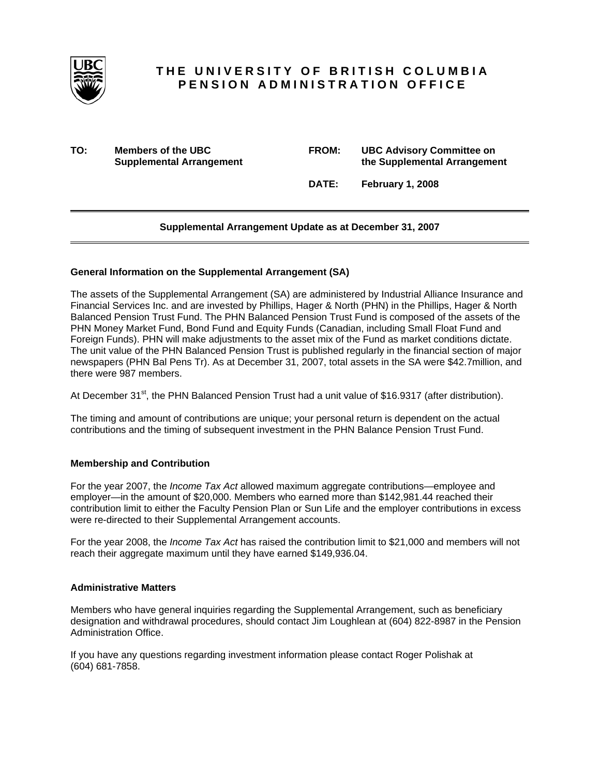

# **THE UNIVERSITY OF BRITISH COLUMBIA PENSION ADMINISTRATION OFFICE**

**TO:** Members of the UBC **Supplemental Arrangement** 

| <b>FROM:</b> | <b>UBC Advisory Committee on</b> |
|--------------|----------------------------------|
|              | the Supplemental Arrangement     |

 **DATE: February 1, 2008** 

# **Supplemental Arrangement Update as at December 31, 2007**

## **General Information on the Supplemental Arrangement (SA)**

The assets of the Supplemental Arrangement (SA) are administered by Industrial Alliance Insurance and Financial Services Inc. and are invested by Phillips, Hager & North (PHN) in the Phillips, Hager & North Balanced Pension Trust Fund. The PHN Balanced Pension Trust Fund is composed of the assets of the PHN Money Market Fund, Bond Fund and Equity Funds (Canadian, including Small Float Fund and Foreign Funds). PHN will make adjustments to the asset mix of the Fund as market conditions dictate. The unit value of the PHN Balanced Pension Trust is published regularly in the financial section of major newspapers (PHN Bal Pens Tr). As at December 31, 2007, total assets in the SA were \$42.7million, and there were 987 members.

At December 31<sup>st</sup>, the PHN Balanced Pension Trust had a unit value of \$16.9317 (after distribution).

The timing and amount of contributions are unique; your personal return is dependent on the actual contributions and the timing of subsequent investment in the PHN Balance Pension Trust Fund.

## **Membership and Contribution**

For the year 2007, the *Income Tax Act* allowed maximum aggregate contributions—employee and employer—in the amount of \$20,000. Members who earned more than \$142,981.44 reached their contribution limit to either the Faculty Pension Plan or Sun Life and the employer contributions in excess were re-directed to their Supplemental Arrangement accounts.

For the year 2008, the *Income Tax Act* has raised the contribution limit to \$21,000 and members will not reach their aggregate maximum until they have earned \$149,936.04.

#### **Administrative Matters**

Members who have general inquiries regarding the Supplemental Arrangement, such as beneficiary designation and withdrawal procedures, should contact Jim Loughlean at (604) 822-8987 in the Pension Administration Office.

If you have any questions regarding investment information please contact Roger Polishak at (604) 681-7858.